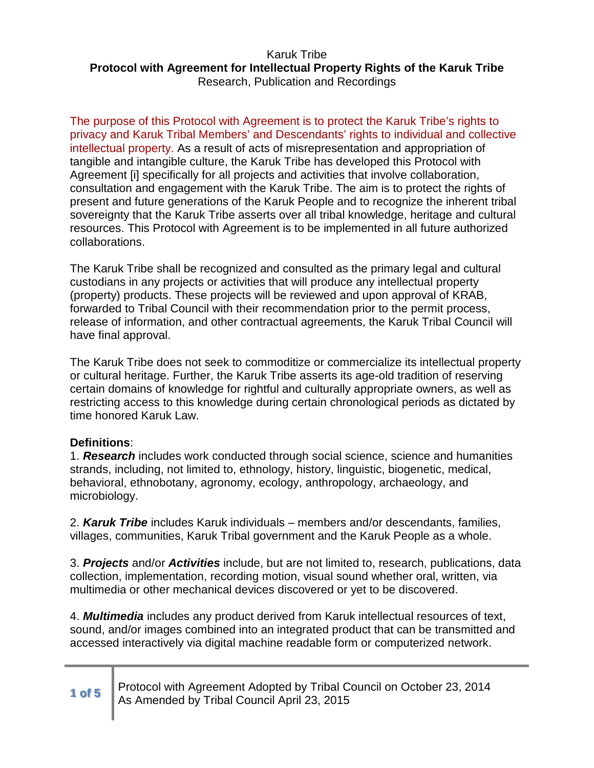The purpose of this Protocol with Agreement is to protect the Karuk Tribe's rights to privacy and Karuk Tribal Members' and Descendants' rights to individual and collective intellectual property. As a result of acts of misrepresentation and appropriation of tangible and intangible culture, the Karuk Tribe has developed this Protocol with Agreement [i] specifically for all projects and activities that involve collaboration, consultation and engagement with the Karuk Tribe. The aim is to protect the rights of present and future generations of the Karuk People and to recognize the inherent tribal sovereignty that the Karuk Tribe asserts over all tribal knowledge, heritage and cultural resources. This Protocol with Agreement is to be implemented in all future authorized collaborations.

The Karuk Tribe shall be recognized and consulted as the primary legal and cultural custodians in any projects or activities that will produce any intellectual property (property) products. These projects will be reviewed and upon approval of KRAB, forwarded to Tribal Council with their recommendation prior to the permit process, release of information, and other contractual agreements, the Karuk Tribal Council will have final approval.

The Karuk Tribe does not seek to commoditize or commercialize its intellectual property or cultural heritage. Further, the Karuk Tribe asserts its age-old tradition of reserving certain domains of knowledge for rightful and culturally appropriate owners, as well as restricting access to this knowledge during certain chronological periods as dictated by time honored Karuk Law.

# **Definitions**:

1. **Research** includes work conducted through social science, science and humanities strands, including, not limited to, ethnology, history, linguistic, biogenetic, medical, behavioral, ethnobotany, agronomy, ecology, anthropology, archaeology, and microbiology.

2. **Karuk Tribe** includes Karuk individuals – members and/or descendants, families, villages, communities, Karuk Tribal government and the Karuk People as a whole.

3. **Projects** and/or **Activities** include, but are not limited to, research, publications, data collection, implementation, recording motion, visual sound whether oral, written, via multimedia or other mechanical devices discovered or yet to be discovered.

4. **Multimedia** includes any product derived from Karuk intellectual resources of text, sound, and/or images combined into an integrated product that can be transmitted and accessed interactively via digital machine readable form or computerized network.

# **1 of 5** Protocol with Agreement Adopted by Tribal Council on October 23, 2014 As Amended by Tribal Council April 23, 2015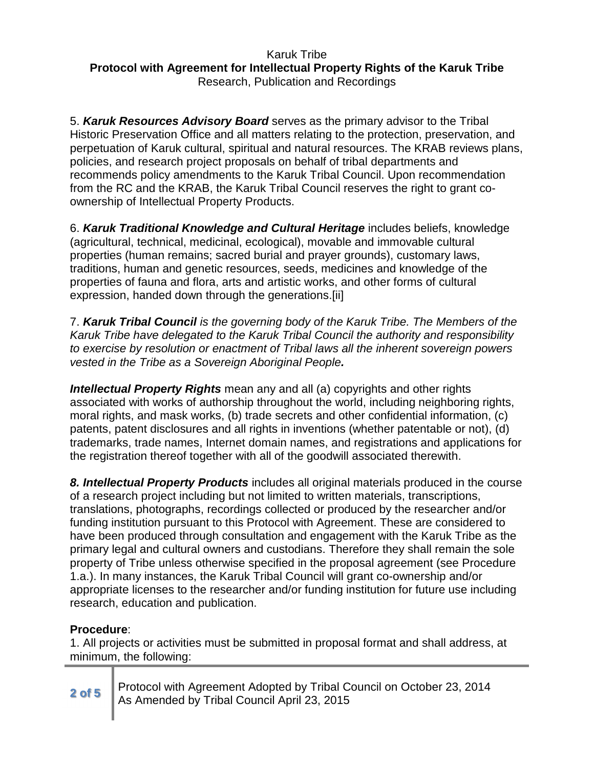5. **Karuk Resources Advisory Board** serves as the primary advisor to the Tribal Historic Preservation Office and all matters relating to the protection, preservation, and perpetuation of Karuk cultural, spiritual and natural resources. The KRAB reviews plans, policies, and research project proposals on behalf of tribal departments and recommends policy amendments to the Karuk Tribal Council. Upon recommendation from the RC and the KRAB, the Karuk Tribal Council reserves the right to grant coownership of Intellectual Property Products.

6. **Karuk Traditional Knowledge and Cultural Heritage** includes beliefs, knowledge (agricultural, technical, medicinal, ecological), movable and immovable cultural properties (human remains; sacred burial and prayer grounds), customary laws, traditions, human and genetic resources, seeds, medicines and knowledge of the properties of fauna and flora, arts and artistic works, and other forms of cultural expression, handed down through the generations.[ii]

7. **Karuk Tribal Council** is the governing body of the Karuk Tribe. The Members of the Karuk Tribe have delegated to the Karuk Tribal Council the authority and responsibility to exercise by resolution or enactment of Tribal laws all the inherent sovereign powers vested in the Tribe as a Sovereign Aboriginal People**.**

**Intellectual Property Rights** mean any and all (a) copyrights and other rights associated with works of authorship throughout the world, including neighboring rights, moral rights, and mask works, (b) trade secrets and other confidential information, (c) patents, patent disclosures and all rights in inventions (whether patentable or not), (d) trademarks, trade names, Internet domain names, and registrations and applications for the registration thereof together with all of the goodwill associated therewith.

**8. Intellectual Property Products** includes all original materials produced in the course of a research project including but not limited to written materials, transcriptions, translations, photographs, recordings collected or produced by the researcher and/or funding institution pursuant to this Protocol with Agreement. These are considered to have been produced through consultation and engagement with the Karuk Tribe as the primary legal and cultural owners and custodians. Therefore they shall remain the sole property of Tribe unless otherwise specified in the proposal agreement (see Procedure 1.a.). In many instances, the Karuk Tribal Council will grant co-ownership and/or appropriate licenses to the researcher and/or funding institution for future use including research, education and publication.

# **Procedure**:

1. All projects or activities must be submitted in proposal format and shall address, at minimum, the following:

**2 of 5** Protocol with Agreement Adopted by Tribal Council on October 23, 2014 As Amended by Tribal Council April 23, 2015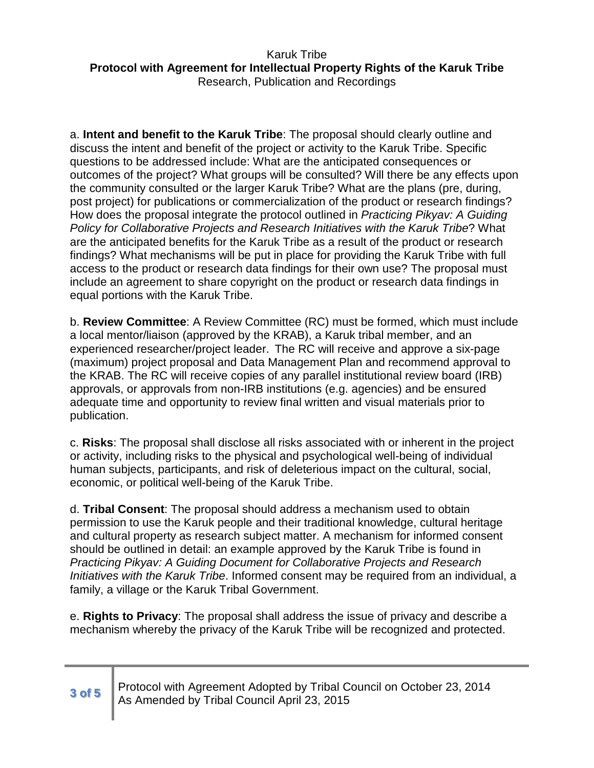a. **Intent and benefit to the Karuk Tribe**: The proposal should clearly outline and discuss the intent and benefit of the project or activity to the Karuk Tribe. Specific questions to be addressed include: What are the anticipated consequences or outcomes of the project? What groups will be consulted? Will there be any effects upon the community consulted or the larger Karuk Tribe? What are the plans (pre, during, post project) for publications or commercialization of the product or research findings? How does the proposal integrate the protocol outlined in Practicing Pikyav: A Guiding Policy for Collaborative Projects and Research Initiatives with the Karuk Tribe? What are the anticipated benefits for the Karuk Tribe as a result of the product or research findings? What mechanisms will be put in place for providing the Karuk Tribe with full access to the product or research data findings for their own use? The proposal must include an agreement to share copyright on the product or research data findings in equal portions with the Karuk Tribe.

b. **Review Committee**: A Review Committee (RC) must be formed, which must include a local mentor/liaison (approved by the KRAB), a Karuk tribal member, and an experienced researcher/project leader. The RC will receive and approve a six-page (maximum) project proposal and Data Management Plan and recommend approval to the KRAB. The RC will receive copies of any parallel institutional review board (IRB) approvals, or approvals from non-IRB institutions (e.g. agencies) and be ensured adequate time and opportunity to review final written and visual materials prior to publication.

c. **Risks**: The proposal shall disclose all risks associated with or inherent in the project or activity, including risks to the physical and psychological well-being of individual human subjects, participants, and risk of deleterious impact on the cultural, social, economic, or political well-being of the Karuk Tribe.

d. **Tribal Consent**: The proposal should address a mechanism used to obtain permission to use the Karuk people and their traditional knowledge, cultural heritage and cultural property as research subject matter. A mechanism for informed consent should be outlined in detail: an example approved by the Karuk Tribe is found in Practicing Pikyav: A Guiding Document for Collaborative Projects and Research Initiatives with the Karuk Tribe. Informed consent may be required from an individual, a family, a village or the Karuk Tribal Government.

e. **Rights to Privacy**: The proposal shall address the issue of privacy and describe a mechanism whereby the privacy of the Karuk Tribe will be recognized and protected.

# **3 of 5** Protocol with Agreement Adopted by Tribal Council on October 23, 2014 As Amended by Tribal Council April 23, 2015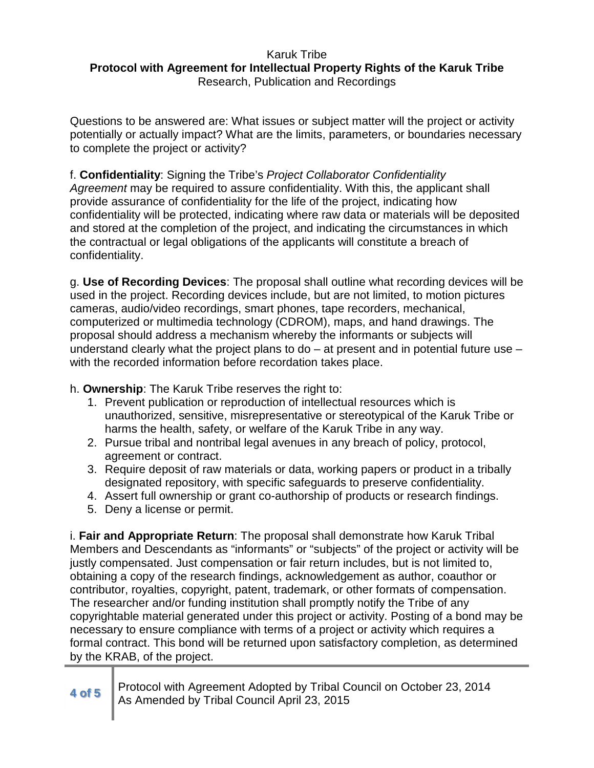Questions to be answered are: What issues or subject matter will the project or activity potentially or actually impact? What are the limits, parameters, or boundaries necessary to complete the project or activity?

f. **Confidentiality**: Signing the Tribe's Project Collaborator Confidentiality Agreement may be required to assure confidentiality. With this, the applicant shall provide assurance of confidentiality for the life of the project, indicating how confidentiality will be protected, indicating where raw data or materials will be deposited and stored at the completion of the project, and indicating the circumstances in which the contractual or legal obligations of the applicants will constitute a breach of confidentiality.

g. **Use of Recording Devices**: The proposal shall outline what recording devices will be used in the project. Recording devices include, but are not limited, to motion pictures cameras, audio/video recordings, smart phones, tape recorders, mechanical, computerized or multimedia technology (CDROM), maps, and hand drawings. The proposal should address a mechanism whereby the informants or subjects will understand clearly what the project plans to  $do - at$  present and in potential future use  $$ with the recorded information before recordation takes place.

h. **Ownership**: The Karuk Tribe reserves the right to:

- 1. Prevent publication or reproduction of intellectual resources which is unauthorized, sensitive, misrepresentative or stereotypical of the Karuk Tribe or harms the health, safety, or welfare of the Karuk Tribe in any way.
- 2. Pursue tribal and nontribal legal avenues in any breach of policy, protocol, agreement or contract.
- 3. Require deposit of raw materials or data, working papers or product in a tribally designated repository, with specific safeguards to preserve confidentiality.
- 4. Assert full ownership or grant co-authorship of products or research findings.
- 5. Deny a license or permit.

i. **Fair and Appropriate Return**: The proposal shall demonstrate how Karuk Tribal Members and Descendants as "informants" or "subjects" of the project or activity will be justly compensated. Just compensation or fair return includes, but is not limited to, obtaining a copy of the research findings, acknowledgement as author, coauthor or contributor, royalties, copyright, patent, trademark, or other formats of compensation. The researcher and/or funding institution shall promptly notify the Tribe of any copyrightable material generated under this project or activity. Posting of a bond may be necessary to ensure compliance with terms of a project or activity which requires a formal contract. This bond will be returned upon satisfactory completion, as determined by the KRAB, of the project.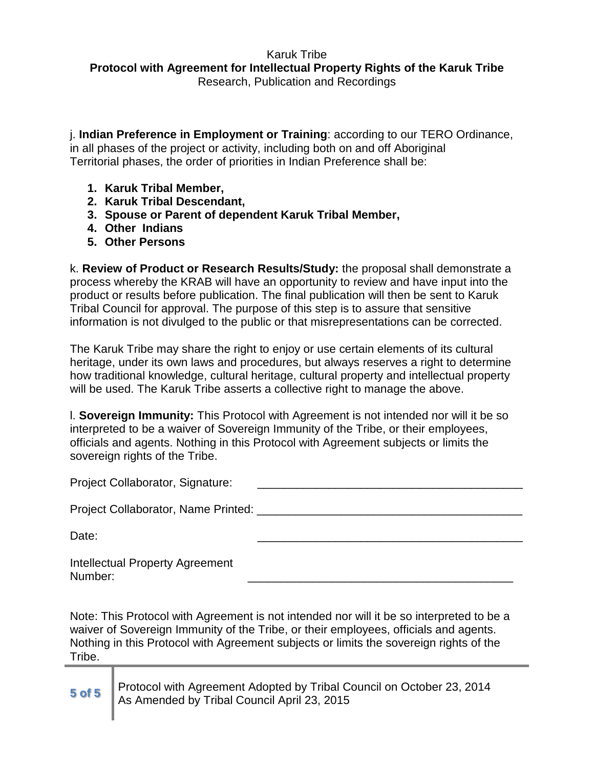j. **Indian Preference in Employment or Training**: according to our TERO Ordinance, in all phases of the project or activity, including both on and off Aboriginal Territorial phases, the order of priorities in Indian Preference shall be:

- **1. Karuk Tribal Member,**
- **2. Karuk Tribal Descendant,**
- **3. Spouse or Parent of dependent Karuk Tribal Member,**
- **4. Other Indians**
- **5. Other Persons**

k. **Review of Product or Research Results/Study:** the proposal shall demonstrate a process whereby the KRAB will have an opportunity to review and have input into the product or results before publication. The final publication will then be sent to Karuk Tribal Council for approval. The purpose of this step is to assure that sensitive information is not divulged to the public or that misrepresentations can be corrected.

The Karuk Tribe may share the right to enjoy or use certain elements of its cultural heritage, under its own laws and procedures, but always reserves a right to determine how traditional knowledge, cultural heritage, cultural property and intellectual property will be used. The Karuk Tribe asserts a collective right to manage the above.

l. **Sovereign Immunity:** This Protocol with Agreement is not intended nor will it be so interpreted to be a waiver of Sovereign Immunity of the Tribe, or their employees, officials and agents. Nothing in this Protocol with Agreement subjects or limits the sovereign rights of the Tribe.

Project Collaborator, Signature:

Project Collaborator, Name Printed: \_\_\_\_\_\_\_\_\_\_\_\_\_\_\_\_\_\_\_\_\_\_\_\_\_\_\_\_\_\_\_\_\_\_\_\_\_\_\_\_\_

Date: \_\_\_\_\_\_\_\_\_\_\_\_\_\_\_\_\_\_\_\_\_\_\_\_\_\_\_\_\_\_\_\_\_\_\_\_\_\_\_\_\_

Intellectual Property Agreement Number: \_\_\_\_\_\_\_\_\_\_\_\_\_\_\_\_\_\_\_\_\_\_\_\_\_\_\_\_\_\_\_\_\_\_\_\_\_\_\_\_\_

Note: This Protocol with Agreement is not intended nor will it be so interpreted to be a waiver of Sovereign Immunity of the Tribe, or their employees, officials and agents. Nothing in this Protocol with Agreement subjects or limits the sovereign rights of the Tribe.

| 5 of 5 Protocol with Agreement Adopted by Tribal Council on October 23, 2014<br>As Amended by Tribal Council April 23, 2015 |
|-----------------------------------------------------------------------------------------------------------------------------|
|                                                                                                                             |